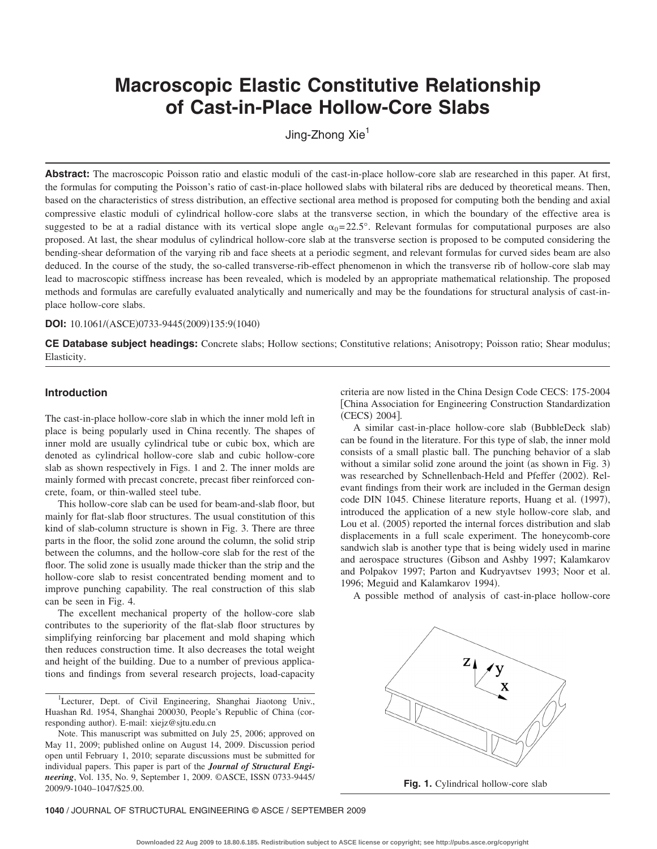# **Macroscopic Elastic Constitutive Relationship of Cast-in-Place Hollow-Core Slabs**

Jing-Zhong Xie<sup>1</sup>

Abstract: The macroscopic Poisson ratio and elastic moduli of the cast-in-place hollow-core slab are researched in this paper. At first, the formulas for computing the Poisson's ratio of cast-in-place hollowed slabs with bilateral ribs are deduced by theoretical means. Then, based on the characteristics of stress distribution, an effective sectional area method is proposed for computing both the bending and axial compressive elastic moduli of cylindrical hollow-core slabs at the transverse section, in which the boundary of the effective area is suggested to be at a radial distance with its vertical slope angle  $\alpha_0$ = 22.5°. Relevant formulas for computational purposes are also proposed. At last, the shear modulus of cylindrical hollow-core slab at the transverse section is proposed to be computed considering the bending-shear deformation of the varying rib and face sheets at a periodic segment, and relevant formulas for curved sides beam are also deduced. In the course of the study, the so-called transverse-rib-effect phenomenon in which the transverse rib of hollow-core slab may lead to macroscopic stiffness increase has been revealed, which is modeled by an appropriate mathematical relationship. The proposed methods and formulas are carefully evaluated analytically and numerically and may be the foundations for structural analysis of cast-inplace hollow-core slabs.

#### **DOI:** 10.1061/(ASCE)0733-9445(2009)135:9(1040)

**CE Database subject headings:** Concrete slabs; Hollow sections; Constitutive relations; Anisotropy; Poisson ratio; Shear modulus; Elasticity.

# **Introduction**

The cast-in-place hollow-core slab in which the inner mold left in place is being popularly used in China recently. The shapes of inner mold are usually cylindrical tube or cubic box, which are denoted as cylindrical hollow-core slab and cubic hollow-core slab as shown respectively in Figs. 1 and 2. The inner molds are mainly formed with precast concrete, precast fiber reinforced concrete, foam, or thin-walled steel tube.

This hollow-core slab can be used for beam-and-slab floor, but mainly for flat-slab floor structures. The usual constitution of this kind of slab-column structure is shown in Fig. 3. There are three parts in the floor, the solid zone around the column, the solid strip between the columns, and the hollow-core slab for the rest of the floor. The solid zone is usually made thicker than the strip and the hollow-core slab to resist concentrated bending moment and to improve punching capability. The real construction of this slab can be seen in Fig. 4.

The excellent mechanical property of the hollow-core slab contributes to the superiority of the flat-slab floor structures by simplifying reinforcing bar placement and mold shaping which then reduces construction time. It also decreases the total weight and height of the building. Due to a number of previous applications and findings from several research projects, load-capacity

<sup>1</sup>Lecturer, Dept. of Civil Engineering, Shanghai Jiaotong Univ., Huashan Rd. 1954, Shanghai 200030, People's Republic of China (corresponding author). E-mail: xiejz@sjtu.edu.cn

Note. This manuscript was submitted on July 25, 2006; approved on May 11, 2009; published online on August 14, 2009. Discussion period open until February 1, 2010; separate discussions must be submitted for individual papers. This paper is part of the *Journal of Structural Engineering*, Vol. 135, No. 9, September 1, 2009. ©ASCE, ISSN 0733-9445/ 2009/9-1040-1047/\$25.00.<br>2009/9-1040-1047/\$25.00.

criteria are now listed in the China Design Code CECS: 175-2004 China Association for Engineering Construction Standardization (CECS) 2004].

A similar cast-in-place hollow-core slab (BubbleDeck slab) can be found in the literature. For this type of slab, the inner mold consists of a small plastic ball. The punching behavior of a slab without a similar solid zone around the joint (as shown in Fig. 3) was researched by Schnellenbach-Held and Pfeffer (2002). Relevant findings from their work are included in the German design code DIN 1045. Chinese literature reports, Huang et al. (1997), introduced the application of a new style hollow-core slab, and Lou et al. (2005) reported the internal forces distribution and slab displacements in a full scale experiment. The honeycomb-core sandwich slab is another type that is being widely used in marine and aerospace structures Gibson and Ashby 1997; Kalamkarov and Polpakov 1997; Parton and Kudryavtsev 1993; Noor et al. 1996; Meguid and Kalamkarov 1994).

A possible method of analysis of cast-in-place hollow-core



**1040** / JOURNAL OF STRUCTURAL ENGINEERING © ASCE / SEPTEMBER 2009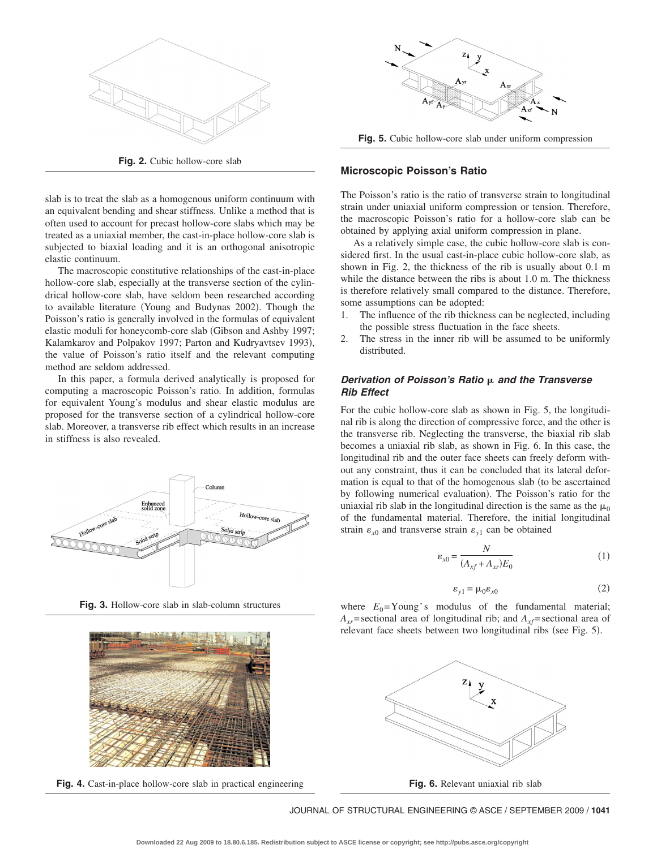

**Fig. 2.** Cubic hollow-core slab

slab is to treat the slab as a homogenous uniform continuum with an equivalent bending and shear stiffness. Unlike a method that is often used to account for precast hollow-core slabs which may be treated as a uniaxial member, the cast-in-place hollow-core slab is subjected to biaxial loading and it is an orthogonal anisotropic elastic continuum.

The macroscopic constitutive relationships of the cast-in-place hollow-core slab, especially at the transverse section of the cylindrical hollow-core slab, have seldom been researched according to available literature (Young and Budynas 2002). Though the Poisson's ratio is generally involved in the formulas of equivalent elastic moduli for honeycomb-core slab Gibson and Ashby 1997; Kalamkarov and Polpakov 1997; Parton and Kudryavtsev 1993), the value of Poisson's ratio itself and the relevant computing method are seldom addressed.

In this paper, a formula derived analytically is proposed for computing a macroscopic Poisson's ratio. In addition, formulas for equivalent Young's modulus and shear elastic modulus are proposed for the transverse section of a cylindrical hollow-core slab. Moreover, a transverse rib effect which results in an increase in stiffness is also revealed.



**Fig. 3.** Hollow-core slab in slab-column structures







**Fig. 5.** Cubic hollow-core slab under uniform compression

## **Microscopic Poisson's Ratio**

The Poisson's ratio is the ratio of transverse strain to longitudinal strain under uniaxial uniform compression or tension. Therefore, the macroscopic Poisson's ratio for a hollow-core slab can be obtained by applying axial uniform compression in plane.

As a relatively simple case, the cubic hollow-core slab is considered first. In the usual cast-in-place cubic hollow-core slab, as shown in Fig. 2, the thickness of the rib is usually about 0.1 m while the distance between the ribs is about 1.0 m. The thickness is therefore relatively small compared to the distance. Therefore, some assumptions can be adopted:

- 1. The influence of the rib thickness can be neglected, including the possible stress fluctuation in the face sheets.
- 2. The stress in the inner rib will be assumed to be uniformly distributed.

## *Derivation of Poisson's Ratio and the Transverse Rib Effect*

For the cubic hollow-core slab as shown in Fig. 5, the longitudinal rib is along the direction of compressive force, and the other is the transverse rib. Neglecting the transverse, the biaxial rib slab becomes a uniaxial rib slab, as shown in Fig. 6. In this case, the longitudinal rib and the outer face sheets can freely deform without any constraint, thus it can be concluded that its lateral deformation is equal to that of the homogenous slab (to be ascertained by following numerical evaluation). The Poisson's ratio for the uniaxial rib slab in the longitudinal direction is the same as the  $\mu_0$ of the fundamental material. Therefore, the initial longitudinal strain  $\varepsilon_{x0}$  and transverse strain  $\varepsilon_{y1}$  can be obtained

$$
\varepsilon_{x0} = \frac{N}{(A_{xf} + A_{xr})E_0} \tag{1}
$$

$$
\varepsilon_{y1} = \mu_0 \varepsilon_{x0} \tag{2}
$$

where  $E_0$ =Young's modulus of the fundamental material;  $A_{xr}$ = sectional area of longitudinal rib; and  $A_{xf}$ = sectional area of relevant face sheets between two longitudinal ribs (see Fig. 5).



**Fig. 6.** Relevant uniaxial rib slab

JOURNAL OF STRUCTURAL ENGINEERING © ASCE / SEPTEMBER 2009 / **1041**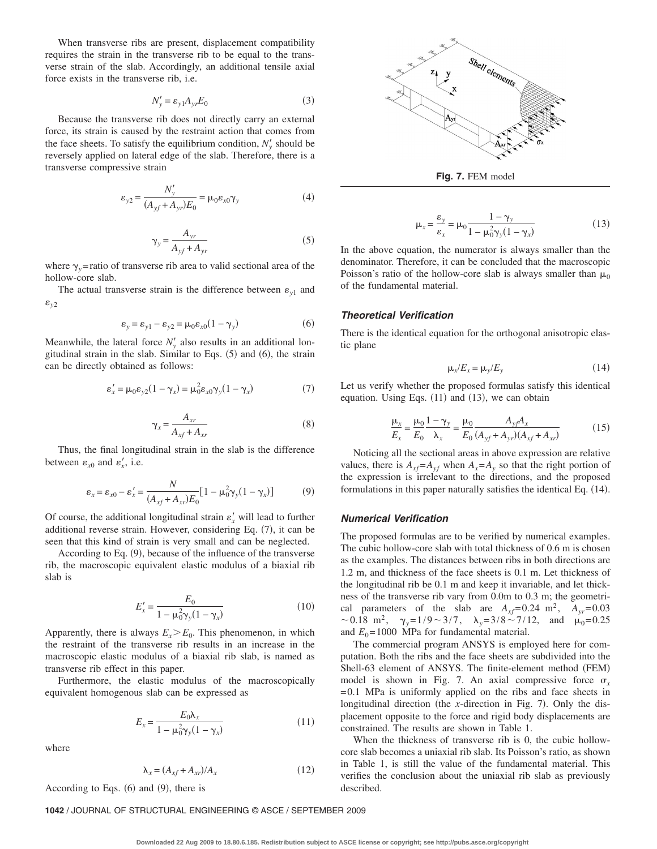When transverse ribs are present, displacement compatibility requires the strain in the transverse rib to be equal to the transverse strain of the slab. Accordingly, an additional tensile axial force exists in the transverse rib, i.e.

$$
N'_{y} = \varepsilon_{y1} A_{yr} E_0 \tag{3}
$$

Because the transverse rib does not directly carry an external force, its strain is caused by the restraint action that comes from the face sheets. To satisfy the equilibrium condition,  $N'_y$  should be reversely applied on lateral edge of the slab. Therefore, there is a transverse compressive strain

$$
\varepsilon_{y2} = \frac{N_y'}{(A_{xf} + A_{yr})E_0} = \mu_0 \varepsilon_{x0} \gamma_y
$$
\n(4)

$$
\gamma_y = \frac{A_{yr}}{A_{yf} + A_{yr}}\tag{5}
$$

where  $\gamma_v$ = ratio of transverse rib area to valid sectional area of the hollow-core slab.

The actual transverse strain is the difference between  $\varepsilon_{v1}$  and  $\varepsilon_{y2}$ 

$$
\varepsilon_{y} = \varepsilon_{y1} - \varepsilon_{y2} = \mu_0 \varepsilon_{x0} (1 - \gamma_y)
$$
 (6)

Meanwhile, the lateral force  $N'_y$  also results in an additional longitudinal strain in the slab. Similar to Eqs. (5) and (6), the strain can be directly obtained as follows:

$$
\varepsilon'_x = \mu_0 \varepsilon_{y2} (1 - \gamma_x) = \mu_0^2 \varepsilon_{x0} \gamma_y (1 - \gamma_x)
$$
 (7)

$$
\gamma_x = \frac{A_{xr}}{A_{xf} + A_{xr}}\tag{8}
$$

Thus, the final longitudinal strain in the slab is the difference between  $\varepsilon_{x0}$  and  $\varepsilon'_{x}$ , i.e.

$$
\varepsilon_x = \varepsilon_{x0} - \varepsilon_x' = \frac{N}{(A_{xf} + A_{xr})E_0} [1 - \mu_0^2 \gamma_y (1 - \gamma_x)] \tag{9}
$$

Of course, the additional longitudinal strain  $\varepsilon'_{x}$  will lead to further additional reverse strain. However, considering Eq. (7), it can be seen that this kind of strain is very small and can be neglected.

According to Eq. (9), because of the influence of the transverse rib, the macroscopic equivalent elastic modulus of a biaxial rib slab is

$$
E'_{x} = \frac{E_{0}}{1 - \mu_{0}^{2} \gamma_{y} (1 - \gamma_{x})}
$$
(10)

Apparently, there is always  $E_x > E_0$ . This phenomenon, in which the restraint of the transverse rib results in an increase in the macroscopic elastic modulus of a biaxial rib slab, is named as transverse rib effect in this paper.

Furthermore, the elastic modulus of the macroscopically equivalent homogenous slab can be expressed as

$$
E_x = \frac{E_0 \lambda_x}{1 - \mu_0^2 \gamma_y (1 - \gamma_x)}
$$
(11)

where

$$
\lambda_x = (A_{xf} + A_{xr})/A_x \tag{12}
$$

According to Eqs.  $(6)$  and  $(9)$ , there is

#### **1042** / JOURNAL OF STRUCTURAL ENGINEERING © ASCE / SEPTEMBER 2009



**Fig. 7.** FEM model

$$
\mu_x = \frac{\varepsilon_y}{\varepsilon_x} = \mu_0 \frac{1 - \gamma_y}{1 - \mu_0^2 \gamma_y (1 - \gamma_x)}
$$
(13)

In the above equation, the numerator is always smaller than the denominator. Therefore, it can be concluded that the macroscopic Poisson's ratio of the hollow-core slab is always smaller than  $\mu_0$ of the fundamental material.

#### *Theoretical Verification*

There is the identical equation for the orthogonal anisotropic elastic plane

$$
\mu_x/E_x = \mu_y/E_y \tag{14}
$$

Let us verify whether the proposed formulas satisfy this identical equation. Using Eqs.  $(11)$  and  $(13)$ , we can obtain

$$
\frac{\mu_x}{E_x} = \frac{\mu_0}{E_0} \frac{1 - \gamma_y}{\lambda_x} = \frac{\mu_0}{E_0} \frac{A_{yf} A_x}{(A_{yf} + A_{yr})(A_{xf} + A_{xr})}
$$
(15)

Noticing all the sectional areas in above expression are relative values, there is  $A_{xf} = A_{yf}$  when  $A_x = A_y$  so that the right portion of the expression is irrelevant to the directions, and the proposed formulations in this paper naturally satisfies the identical Eq. (14).

#### *Numerical Verification*

The proposed formulas are to be verified by numerical examples. The cubic hollow-core slab with total thickness of 0.6 m is chosen as the examples. The distances between ribs in both directions are 1.2 m, and thickness of the face sheets is 0.1 m. Let thickness of the longitudinal rib be 0.1 m and keep it invariable, and let thickness of the transverse rib vary from 0.0m to 0.3 m; the geometrical parameters of the slab are  $A_{xf} = 0.24 \text{ m}^2$ ,  $A_{yr} = 0.03$ ~ 0.18 m<sup>2</sup>,  $\gamma_y=1/9\sim 3/7$ ,  $\lambda_y=3/8\sim 7/12$ , and  $\mu_0=0.25$ and  $E_0 = 1000$  MPa for fundamental material.

The commercial program ANSYS is employed here for computation. Both the ribs and the face sheets are subdivided into the Shell-63 element of ANSYS. The finite-element method (FEM) model is shown in Fig. 7. An axial compressive force  $\sigma_r$ = 0.1 MPa is uniformly applied on the ribs and face sheets in longitudinal direction (the *x*-direction in Fig. 7). Only the displacement opposite to the force and rigid body displacements are constrained. The results are shown in Table 1.

When the thickness of transverse rib is 0, the cubic hollowcore slab becomes a uniaxial rib slab. Its Poisson's ratio, as shown in Table 1, is still the value of the fundamental material. This verifies the conclusion about the uniaxial rib slab as previously described.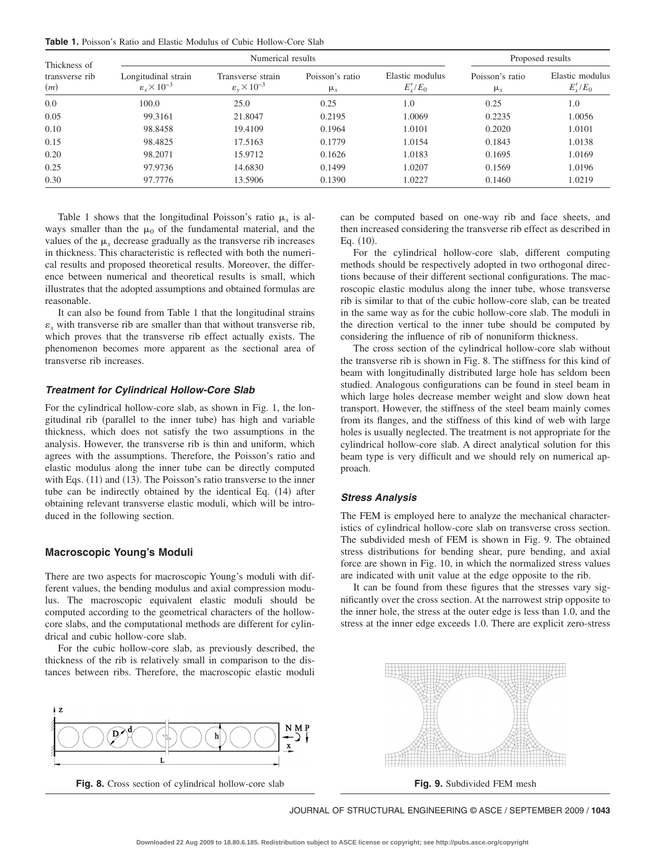**Table 1.** Poisson's Ratio and Elastic Modulus of Cubic Hollow-Core Slab

| Thickness of<br>transverse rib<br>(m) |                                                                             | Proposed results                                    |                            |                               |                              |                               |
|---------------------------------------|-----------------------------------------------------------------------------|-----------------------------------------------------|----------------------------|-------------------------------|------------------------------|-------------------------------|
|                                       | Longitudinal strain<br>$\varepsilon$ <sub>x</sub> $\times$ 10 <sup>-3</sup> | Transverse strain<br>$\varepsilon_v \times 10^{-3}$ | Poisson's ratio<br>$\mu_x$ | Elastic modulus<br>$E'_x/E_0$ | Poisson's ratio<br>$\mu_{x}$ | Elastic modulus<br>$E_x'/E_0$ |
| 0.0                                   | 100.0                                                                       | 25.0                                                | 0.25                       | 1.0                           | 0.25                         | 1.0                           |
| 0.05                                  | 99.3161                                                                     | 21.8047                                             | 0.2195                     | 1.0069                        | 0.2235                       | 1.0056                        |
| 0.10                                  | 98.8458                                                                     | 19.4109                                             | 0.1964                     | 1.0101                        | 0.2020                       | 1.0101                        |
| 0.15                                  | 98.4825                                                                     | 17.5163                                             | 0.1779                     | 1.0154                        | 0.1843                       | 1.0138                        |
| 0.20                                  | 98.2071                                                                     | 15.9712                                             | 0.1626                     | 1.0183                        | 0.1695                       | 1.0169                        |
| 0.25                                  | 97.9736                                                                     | 14.6830                                             | 0.1499                     | 1.0207                        | 0.1569                       | 1.0196                        |
| 0.30                                  | 97.7776                                                                     | 13.5906                                             | 0.1390                     | 1.0227                        | 0.1460                       | 1.0219                        |

Table 1 shows that the longitudinal Poisson's ratio  $\mu_x$  is always smaller than the  $\mu_0$  of the fundamental material, and the values of the  $\mu_x$  decrease gradually as the transverse rib increases in thickness. This characteristic is reflected with both the numerical results and proposed theoretical results. Moreover, the difference between numerical and theoretical results is small, which illustrates that the adopted assumptions and obtained formulas are reasonable.

It can also be found from Table 1 that the longitudinal strains  $\varepsilon$ <sub>x</sub> with transverse rib are smaller than that without transverse rib, which proves that the transverse rib effect actually exists. The phenomenon becomes more apparent as the sectional area of transverse rib increases.

#### *Treatment for Cylindrical Hollow-Core Slab*

For the cylindrical hollow-core slab, as shown in Fig. 1, the longitudinal rib (parallel to the inner tube) has high and variable thickness, which does not satisfy the two assumptions in the analysis. However, the transverse rib is thin and uniform, which agrees with the assumptions. Therefore, the Poisson's ratio and elastic modulus along the inner tube can be directly computed with Eqs.  $(11)$  and  $(13)$ . The Poisson's ratio transverse to the inner tube can be indirectly obtained by the identical Eq. (14) after obtaining relevant transverse elastic moduli, which will be introduced in the following section.

#### **Macroscopic Young's Moduli**

There are two aspects for macroscopic Young's moduli with different values, the bending modulus and axial compression modulus. The macroscopic equivalent elastic moduli should be computed according to the geometrical characters of the hollowcore slabs, and the computational methods are different for cylindrical and cubic hollow-core slab.

For the cubic hollow-core slab, as previously described, the thickness of the rib is relatively small in comparison to the distances between ribs. Therefore, the macroscopic elastic moduli



**Fig. 8.** Cross section of cylindrical hollow-core slab **Fig. 9.** Subdivided FEM mesh

can be computed based on one-way rib and face sheets, and then increased considering the transverse rib effect as described in Eq.  $(10)$ .

For the cylindrical hollow-core slab, different computing methods should be respectively adopted in two orthogonal directions because of their different sectional configurations. The macroscopic elastic modulus along the inner tube, whose transverse rib is similar to that of the cubic hollow-core slab, can be treated in the same way as for the cubic hollow-core slab. The moduli in the direction vertical to the inner tube should be computed by considering the influence of rib of nonuniform thickness.

The cross section of the cylindrical hollow-core slab without the transverse rib is shown in Fig. 8. The stiffness for this kind of beam with longitudinally distributed large hole has seldom been studied. Analogous configurations can be found in steel beam in which large holes decrease member weight and slow down heat transport. However, the stiffness of the steel beam mainly comes from its flanges, and the stiffness of this kind of web with large holes is usually neglected. The treatment is not appropriate for the cylindrical hollow-core slab. A direct analytical solution for this beam type is very difficult and we should rely on numerical approach.

#### *Stress Analysis*

The FEM is employed here to analyze the mechanical characteristics of cylindrical hollow-core slab on transverse cross section. The subdivided mesh of FEM is shown in Fig. 9. The obtained stress distributions for bending shear, pure bending, and axial force are shown in Fig. 10, in which the normalized stress values are indicated with unit value at the edge opposite to the rib.

It can be found from these figures that the stresses vary significantly over the cross section. At the narrowest strip opposite to the inner hole, the stress at the outer edge is less than 1.0, and the stress at the inner edge exceeds 1.0. There are explicit zero-stress



JOURNAL OF STRUCTURAL ENGINEERING © ASCE / SEPTEMBER 2009 / **1043**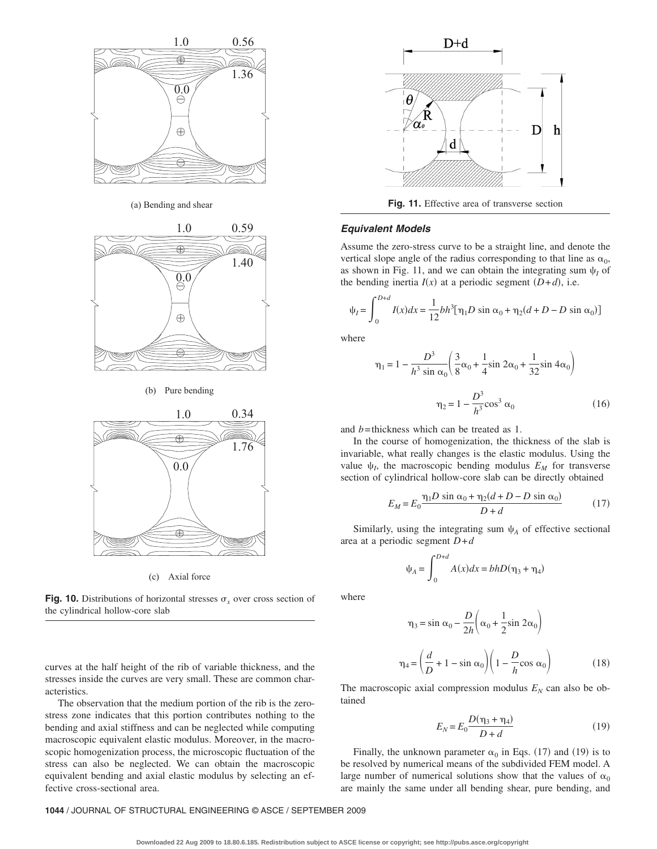

(a) Bending and shear



(b) Pure bending



(c) Axial force

**Fig. 10.** Distributions of horizontal stresses  $\sigma_x$  over cross section of the cylindrical hollow-core slab

curves at the half height of the rib of variable thickness, and the stresses inside the curves are very small. These are common characteristics.

The observation that the medium portion of the rib is the zerostress zone indicates that this portion contributes nothing to the bending and axial stiffness and can be neglected while computing macroscopic equivalent elastic modulus. Moreover, in the macroscopic homogenization process, the microscopic fluctuation of the stress can also be neglected. We can obtain the macroscopic equivalent bending and axial elastic modulus by selecting an effective cross-sectional area.



**Fig. 11.** Effective area of transverse section

## *Equivalent Models*

Assume the zero-stress curve to be a straight line, and denote the vertical slope angle of the radius corresponding to that line as  $\alpha_0$ , as shown in Fig. 11, and we can obtain the integrating sum  $\psi_I$  of the bending inertia  $I(x)$  at a periodic segment  $(D+d)$ , i.e.

$$
\psi_I = \int_0^{D+d} I(x)dx = \frac{1}{12}bh^3[\eta_1 D \sin \alpha_0 + \eta_2 (d + D - D \sin \alpha_0)]
$$

where

$$
\eta_1 = 1 - \frac{D^3}{h^3 \sin \alpha_0} \left( \frac{3}{8} \alpha_0 + \frac{1}{4} \sin 2\alpha_0 + \frac{1}{32} \sin 4\alpha_0 \right)
$$

$$
\eta_2 = 1 - \frac{D^3}{h^3} \cos^3 \alpha_0 \tag{16}
$$

and *b*=thickness which can be treated as 1.

In the course of homogenization, the thickness of the slab is invariable, what really changes is the elastic modulus. Using the value  $\psi_I$ , the macroscopic bending modulus  $E_M$  for transverse section of cylindrical hollow-core slab can be directly obtained

$$
E_M = E_0 \frac{\eta_1 D \sin \alpha_0 + \eta_2 (d + D - D \sin \alpha_0)}{D + d}
$$
 (17)

Similarly, using the integrating sum  $\psi_A$  of effective sectional area at a periodic segment *D*+*d*

$$
\psi_A = \int_0^{D+d} A(x)dx = bhD(\eta_3 + \eta_4)
$$

where

$$
\eta_3 = \sin \alpha_0 - \frac{D}{2h} \left( \alpha_0 + \frac{1}{2} \sin 2\alpha_0 \right)
$$

$$
\eta_4 = \left( \frac{d}{D} + 1 - \sin \alpha_0 \right) \left( 1 - \frac{D}{h} \cos \alpha_0 \right) \tag{18}
$$

The macroscopic axial compression modulus  $E_N$  can also be obtained

$$
E_N = E_0 \frac{D(\eta_3 + \eta_4)}{D + d} \tag{19}
$$

Finally, the unknown parameter  $\alpha_0$  in Eqs. (17) and (19) is to be resolved by numerical means of the subdivided FEM model. A large number of numerical solutions show that the values of  $\alpha_0$ are mainly the same under all bending shear, pure bending, and

**1044** / JOURNAL OF STRUCTURAL ENGINEERING © ASCE / SEPTEMBER 2009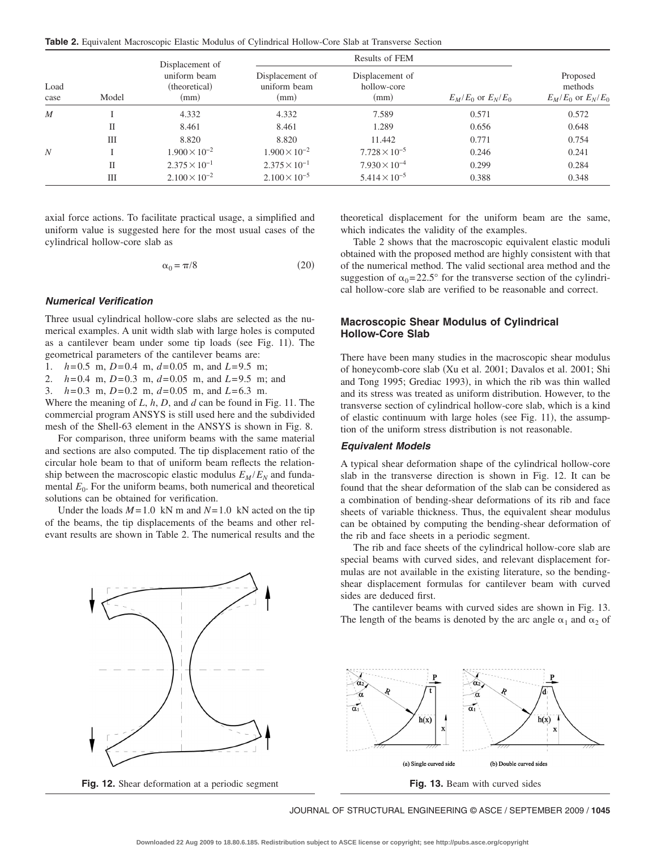**Table 2.** Equivalent Macroscopic Elastic Modulus of Cylindrical Hollow-Core Slab at Transverse Section

|                  |       | Displacement of                       |                                         |                                        |       |                                               |  |
|------------------|-------|---------------------------------------|-----------------------------------------|----------------------------------------|-------|-----------------------------------------------|--|
| Load<br>case     | Model | uniform beam<br>(theoretical)<br>(mm) | Displacement of<br>uniform beam<br>(mm) | Displacement of<br>hollow-core<br>(mm) |       | Proposed<br>methods<br>$E_M/E_0$ or $E_N/E_0$ |  |
| $\boldsymbol{M}$ |       | 4.332                                 | 4.332                                   | 7.589                                  | 0.571 | 0.572                                         |  |
|                  | П     | 8.461                                 | 8.461                                   | 1.289                                  | 0.656 | 0.648                                         |  |
|                  | Ш     | 8.820                                 | 8.820                                   | 11.442                                 | 0.771 | 0.754                                         |  |
| N                |       | $1.900 \times 10^{-2}$                | $1.900 \times 10^{-2}$                  | $7.728 \times 10^{-5}$                 | 0.246 | 0.241                                         |  |
|                  | П     | $2.375 \times 10^{-1}$                | $2.375 \times 10^{-1}$                  | $7.930 \times 10^{-4}$                 | 0.299 | 0.284                                         |  |
|                  | Ш     | $2.100 \times 10^{-2}$                | $2.100 \times 10^{-5}$                  | $5.414 \times 10^{-5}$                 | 0.388 | 0.348                                         |  |

axial force actions. To facilitate practical usage, a simplified and uniform value is suggested here for the most usual cases of the cylindrical hollow-core slab as

$$
\alpha_0 = \pi/8 \tag{20}
$$

# *Numerical Verification*

Three usual cylindrical hollow-core slabs are selected as the numerical examples. A unit width slab with large holes is computed as a cantilever beam under some tip loads (see Fig. 11). The geometrical parameters of the cantilever beams are:

1. *h*= 0.5 m, *D*= 0.4 m, *d*= 0.05 m, and *L*= 9.5 m;

2. *h*= 0.4 m, *D*= 0.3 m, *d*= 0.05 m, and *L*= 9.5 m; and

3. *h*= 0.3 m, *D*= 0.2 m, *d*= 0.05 m, and *L*= 6.3 m.

Where the meaning of *L*, *h*, *D*, and *d* can be found in Fig. 11. The commercial program ANSYS is still used here and the subdivided mesh of the Shell-63 element in the ANSYS is shown in Fig. 8.

For comparison, three uniform beams with the same material and sections are also computed. The tip displacement ratio of the circular hole beam to that of uniform beam reflects the relationship between the macroscopic elastic modulus  $E_M/E_N$  and fundamental  $E_0$ . For the uniform beams, both numerical and theoretical solutions can be obtained for verification.

Under the loads  $M = 1.0$  kN m and  $N = 1.0$  kN acted on the tip of the beams, the tip displacements of the beams and other relevant results are shown in Table 2. The numerical results and the



**Fig. 12.** Shear deformation at a periodic segment **Fig. 13.** Beam with curved sides

theoretical displacement for the uniform beam are the same, which indicates the validity of the examples.

Table 2 shows that the macroscopic equivalent elastic moduli obtained with the proposed method are highly consistent with that of the numerical method. The valid sectional area method and the suggestion of  $\alpha_0 = 22.5^\circ$  for the transverse section of the cylindrical hollow-core slab are verified to be reasonable and correct.

# **Macroscopic Shear Modulus of Cylindrical Hollow-Core Slab**

There have been many studies in the macroscopic shear modulus of honeycomb-core slab Xu et al. 2001; Davalos et al. 2001; Shi and Tong 1995; Grediac 1993), in which the rib was thin walled and its stress was treated as uniform distribution. However, to the transverse section of cylindrical hollow-core slab, which is a kind of elastic continuum with large holes (see Fig. 11), the assumption of the uniform stress distribution is not reasonable.

#### *Equivalent Models*

A typical shear deformation shape of the cylindrical hollow-core slab in the transverse direction is shown in Fig. 12. It can be found that the shear deformation of the slab can be considered as a combination of bending-shear deformations of its rib and face sheets of variable thickness. Thus, the equivalent shear modulus can be obtained by computing the bending-shear deformation of the rib and face sheets in a periodic segment.

The rib and face sheets of the cylindrical hollow-core slab are special beams with curved sides, and relevant displacement formulas are not available in the existing literature, so the bendingshear displacement formulas for cantilever beam with curved sides are deduced first.

The cantilever beams with curved sides are shown in Fig. 13. The length of the beams is denoted by the arc angle  $\alpha_1$  and  $\alpha_2$  of



# JOURNAL OF STRUCTURAL ENGINEERING © ASCE / SEPTEMBER 2009 / **1045**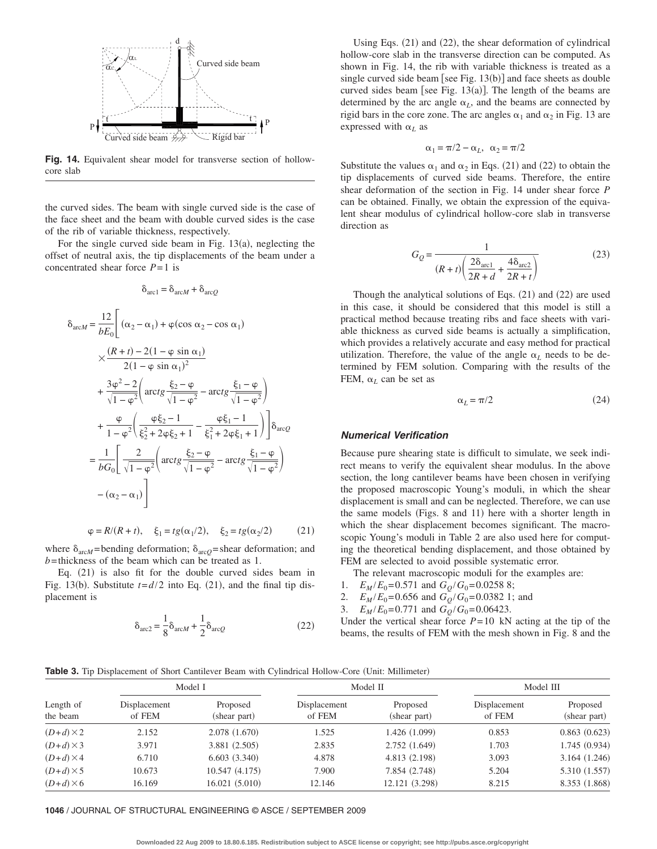

**Fig. 14.** Equivalent shear model for transverse section of hollowcore slab

the curved sides. The beam with single curved side is the case of the face sheet and the beam with double curved sides is the case of the rib of variable thickness, respectively.

For the single curved side beam in Fig.  $13(a)$ , neglecting the offset of neutral axis, the tip displacements of the beam under a concentrated shear force  $P=1$  is

$$
\delta_{\text{arc1}} = \delta_{\text{arc}M} + \delta_{\text{arc}Q}
$$

$$
\delta_{\text{arc}M} = \frac{12}{bE_0} \left[ (\alpha_2 - \alpha_1) + \varphi(\cos \alpha_2 - \cos \alpha_1) \times \frac{(R+t) - 2(1-\varphi \sin \alpha_1)}{2(1-\varphi \sin \alpha_1)^2} + \frac{3\varphi^2 - 2}{\sqrt{1-\varphi^2}} \left( \arctg \frac{\xi_2 - \varphi}{\sqrt{1-\varphi^2}} - \arctg \frac{\xi_1 - \varphi}{\sqrt{1-\varphi^2}} \right) + \frac{\varphi}{1-\varphi^2} \left( \frac{\varphi\xi_2 - 1}{\xi_2^2 + 2\varphi\xi_2 + 1} - \frac{\varphi\xi_1 - 1}{\xi_1^2 + 2\varphi\xi_1 + 1} \right) \right] \delta_{\text{arc}Q}
$$

$$
= \frac{1}{bG_0} \left[ \frac{2}{\sqrt{1-\varphi^2}} \left( \arctg \frac{\xi_2 - \varphi}{\sqrt{1-\varphi^2}} - \arctg \frac{\xi_1 - \varphi}{\sqrt{1-\varphi^2}} \right) - (\alpha_2 - \alpha_1) \right]
$$

$$
\varphi = R/(R + t), \quad \xi_1 = tg(\alpha_1/2), \quad \xi_2 = tg(\alpha_2/2)
$$
\n(21)

where  $\delta_{\text{arc}M}$ =bending deformation;  $\delta_{\text{arc}O}$ =shear deformation; and *b*=thickness of the beam which can be treated as 1.

Eq. (21) is also fit for the double curved sides beam in Fig. 13(b). Substitute  $t = d/2$  into Eq. (21), and the final tip displacement is

$$
\delta_{\text{arc2}} = \frac{1}{8}\delta_{\text{arc}M} + \frac{1}{2}\delta_{\text{arc}Q} \tag{22}
$$

Using Eqs. (21) and (22), the shear deformation of cylindrical hollow-core slab in the transverse direction can be computed. As shown in Fig. 14, the rib with variable thickness is treated as a single curved side beam [see Fig.  $13(b)$ ] and face sheets as double curved sides beam [see Fig.  $13(a)$ ]. The length of the beams are determined by the arc angle  $\alpha_L$ , and the beams are connected by rigid bars in the core zone. The arc angles  $\alpha_1$  and  $\alpha_2$  in Fig. 13 are expressed with  $\alpha_L$  as

$$
\alpha_1 = \pi/2 - \alpha_L, \ \alpha_2 = \pi/2
$$

Substitute the values  $\alpha_1$  and  $\alpha_2$  in Eqs. (21) and (22) to obtain the tip displacements of curved side beams. Therefore, the entire shear deformation of the section in Fig. 14 under shear force *P* can be obtained. Finally, we obtain the expression of the equivalent shear modulus of cylindrical hollow-core slab in transverse direction as

$$
G_Q = \frac{1}{(R+t)\left(\frac{2\delta_{\text{arc1}}}{2R+d} + \frac{4\delta_{\text{arc2}}}{2R+t}\right)}
$$
(23)

Though the analytical solutions of Eqs.  $(21)$  and  $(22)$  are used in this case, it should be considered that this model is still a practical method because treating ribs and face sheets with variable thickness as curved side beams is actually a simplification, which provides a relatively accurate and easy method for practical utilization. Therefore, the value of the angle  $\alpha_L$  needs to be determined by FEM solution. Comparing with the results of the FEM,  $\alpha_L$  can be set as

$$
\alpha_L = \pi/2 \tag{24}
$$

## *Numerical Verification*

Because pure shearing state is difficult to simulate, we seek indirect means to verify the equivalent shear modulus. In the above section, the long cantilever beams have been chosen in verifying the proposed macroscopic Young's moduli, in which the shear displacement is small and can be neglected. Therefore, we can use the same models (Figs. 8 and 11) here with a shorter length in which the shear displacement becomes significant. The macroscopic Young's moduli in Table 2 are also used here for computing the theoretical bending displacement, and those obtained by FEM are selected to avoid possible systematic error.

The relevant macroscopic moduli for the examples are:

- 1.  $E_M/E_0 = 0.571$  and  $G_O/G_0 = 0.0258$  8;
- 2.  $E_M/E_0 = 0.656$  and  $G_O/G_0 = 0.0382$  1; and

3. 
$$
E_M/E_0 = 0.771
$$
 and  $G_Q/G_0 = 0.06423$ .

Under the vertical shear force  $P = 10$  kN acting at the tip of the beams, the results of FEM with the mesh shown in Fig. 8 and the

**Table 3.** Tip Displacement of Short Cantilever Beam with Cylindrical Hollow-Core (Unit: Millimeter)

| Length of<br>the beam | Model I                |                          | Model II               |                          | Model III              |                          |
|-----------------------|------------------------|--------------------------|------------------------|--------------------------|------------------------|--------------------------|
|                       | Displacement<br>of FEM | Proposed<br>(shear part) | Displacement<br>of FEM | Proposed<br>(shear part) | Displacement<br>of FEM | Proposed<br>(shear part) |
| $(D+d)\times 2$       | 2.152                  | 2.078(1.670)             | 1.525                  | 1.426(1.099)             | 0.853                  | 0.863(0.623)             |
| $(D+d)\times 3$       | 3.971                  | 3.881 (2.505)            | 2.835                  | 2.752(1.649)             | 1.703                  | 1.745(0.934)             |
| $(D+d)\times 4$       | 6.710                  | 6.603(3.340)             | 4.878                  | 4.813(2.198)             | 3.093                  | 3.164(1.246)             |
| $(D+d)\times 5$       | 10.673                 | 10.547(4.175)            | 7.900                  | 7.854 (2.748)            | 5.204                  | 5.310 (1.557)            |
| $(D+d)\times 6$       | 16.169                 | 16.021(5.010)            | 12.146                 | 12.121 (3.298)           | 8.215                  | 8.353 (1.868)            |

**1046** / JOURNAL OF STRUCTURAL ENGINEERING © ASCE / SEPTEMBER 2009